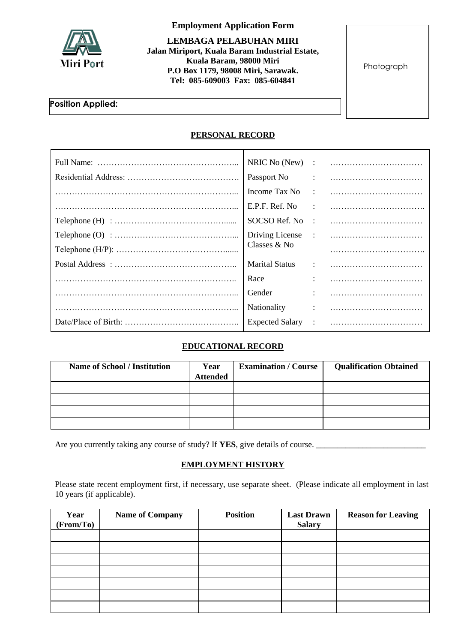

**Employment Application Form**

**LEMBAGA PELABUHAN MIRI Jalan Miriport, Kuala Baram Industrial Estate, Kuala Baram, 98000 Miri P.O Box 1179, 98008 Miri, Sarawak. Tel: 085-609003 Fax: 085-604841**

Photograph

### **Position Applied:**

## **PERSONAL RECORD**

| NRIC No (New)          |                                                                                                                                                                                                                                                                                                                                                                                                                                                                                 |
|------------------------|---------------------------------------------------------------------------------------------------------------------------------------------------------------------------------------------------------------------------------------------------------------------------------------------------------------------------------------------------------------------------------------------------------------------------------------------------------------------------------|
|                        |                                                                                                                                                                                                                                                                                                                                                                                                                                                                                 |
| Income Tax No          | $\mathbf{r} = \mathbf{r} \cdot \mathbf{r} = \mathbf{r} \cdot \mathbf{r} \cdot \mathbf{r} \cdot \mathbf{r} \cdot \mathbf{r} \cdot \mathbf{r} \cdot \mathbf{r} \cdot \mathbf{r} \cdot \mathbf{r} \cdot \mathbf{r} \cdot \mathbf{r} \cdot \mathbf{r} \cdot \mathbf{r} \cdot \mathbf{r} \cdot \mathbf{r} \cdot \mathbf{r} \cdot \mathbf{r} \cdot \mathbf{r} \cdot \mathbf{r} \cdot \mathbf{r} \cdot \mathbf{r} \cdot \mathbf{r} \cdot \mathbf{r} \cdot \mathbf{r} \cdot \mathbf{r}$ |
| E.P.F. Ref. No         | $\mathcal{L} = \mathcal{L} = \{1, 2, \ldots, 2, \ldots, 2, \ldots, 2, \ldots, 2, \ldots, 2, \ldots, 2, \ldots, 2, \ldots, 2, \ldots, 2, \ldots, 2, \ldots, 2, \ldots, 2, \ldots, 2, \ldots, 2, \ldots, 2, \ldots, 2, \ldots, 2, \ldots, 2, \ldots, 2, \ldots, 2, \ldots, 2, \ldots, 2, \ldots, 2, \ldots, 2, \ldots, 2, \ldots, 2, \ldots, 2, \ldots, 2, \ldots$                                                                                                                |
| SOCSO Ref. No          |                                                                                                                                                                                                                                                                                                                                                                                                                                                                                 |
|                        |                                                                                                                                                                                                                                                                                                                                                                                                                                                                                 |
| Classes & No           |                                                                                                                                                                                                                                                                                                                                                                                                                                                                                 |
|                        |                                                                                                                                                                                                                                                                                                                                                                                                                                                                                 |
| Race                   |                                                                                                                                                                                                                                                                                                                                                                                                                                                                                 |
| Gender                 |                                                                                                                                                                                                                                                                                                                                                                                                                                                                                 |
| <b>Nationality</b>     |                                                                                                                                                                                                                                                                                                                                                                                                                                                                                 |
| <b>Expected Salary</b> |                                                                                                                                                                                                                                                                                                                                                                                                                                                                                 |

# **EDUCATIONAL RECORD**

| <b>Name of School / Institution</b> | Year<br><b>Attended</b> | <b>Examination / Course</b> | <b>Qualification Obtained</b> |
|-------------------------------------|-------------------------|-----------------------------|-------------------------------|
|                                     |                         |                             |                               |
|                                     |                         |                             |                               |
|                                     |                         |                             |                               |
|                                     |                         |                             |                               |

Are you currently taking any course of study? If **YES**, give details of course. \_\_\_\_\_\_\_\_\_\_\_\_\_\_\_\_\_\_\_\_\_\_\_\_\_\_

### **EMPLOYMENT HISTORY**

Please state recent employment first, if necessary, use separate sheet. (Please indicate all employment in last 10 years (if applicable).

| Year<br>(From/To) | <b>Name of Company</b> | <b>Position</b> | <b>Last Drawn</b><br><b>Salary</b> | <b>Reason for Leaving</b> |
|-------------------|------------------------|-----------------|------------------------------------|---------------------------|
|                   |                        |                 |                                    |                           |
|                   |                        |                 |                                    |                           |
|                   |                        |                 |                                    |                           |
|                   |                        |                 |                                    |                           |
|                   |                        |                 |                                    |                           |
|                   |                        |                 |                                    |                           |
|                   |                        |                 |                                    |                           |